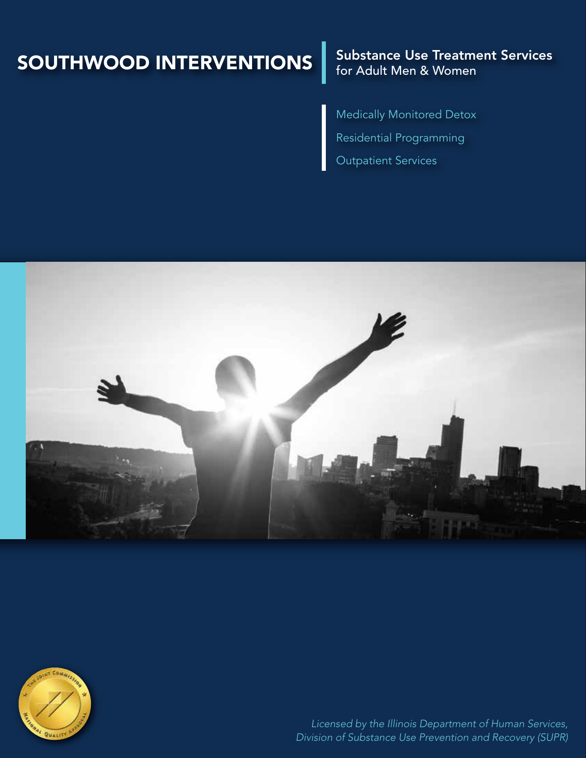# SOUTHWOOD INTERVENTIONS

### Substance Use Treatment Services for Adult Men & Women

Medically Monitored Detox Residential Programming Outpatient Services





*Licensed by the Illinois Department of Human Services, Division of Substance Use Prevention and Recovery (SUPR)*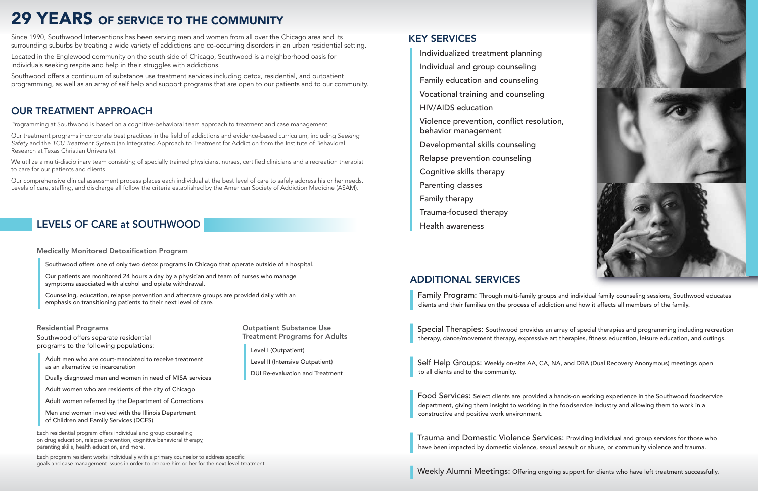# 29 YEARS OF SERVICE TO THE COMMUNITY

Since 1990, Southwood Interventions has been serving men and women from all over the Chicago area and its surrounding suburbs by treating a wide variety of addictions and co-occurring disorders in an urban residential setting.

Located in the Englewood community on the south side of Chicago, Southwood is a neighborhood oasis for individuals seeking respite and help in their struggles with addictions.

Southwood offers a continuum of substance use treatment services including detox, residential, and outpatient programming, as well as an array of self help and support programs that are open to our patients and to our community.

## OUR TREATMENT APPROACH

Programming at Southwood is based on a cognitive-behavioral team approach to treatment and case management.

Our treatment programs incorporate best practices in the field of addictions and evidence-based curriculum, including *Seeking Safety* and the *TCU Treatment System* (an Integrated Approach to Treatment for Addiction from the Institute of Behavioral Research at Texas Christian University).

We utilize a multi-disciplinary team consisting of specially trained physicians, nurses, certified clinicians and a recreation therapist to care for our patients and clients.

Our comprehensive clinical assessment process places each individual at the best level of care to safely address his or her needs. Levels of care, staffing, and discharge all follow the criteria established by the American Society of Addiction Medicine (ASAM).

# LEVELS OF CARE at SOUTHWOOD

Outpatient Substance Use Treatment Programs for Adults

Level I (Outpatient)

Level II (Intensive Outpatient)

DUI Re-evaluation and Treatment

#### Residential Programs

Southwood offers separate residential programs to the following populations:

 Adult men who are court-mandated to receive treatment as an alternative to incarceration

**Special Therapies:** Southwood provides an array of special therapies and programming including recreation therapy, dance/movement therapy, expressive art therapies, fitness education, leisure education, and outings.

Dually diagnosed men and women in need of MISA services

Adult women who are residents of the city of Chicago

Adult women referred by the Department of Corrections

 Men and women involved with the Illinois Department of Children and Family Services (DCFS)

Each residential program offers individual and group counseling on drug education, relapse prevention, cognitive behavioral therapy, parenting skills, health education, and more.

Each program resident works individually with a primary counselor to address specific goals and case management issues in order to prepare him or her for the next level treatment.

#### Medically Monitored Detoxification Program

Southwood offers one of only two detox programs in Chicago that operate outside of a hospital.

 Our patients are monitored 24 hours a day by a physician and team of nurses who manage symptoms associated with alcohol and opiate withdrawal.

 Counseling, education, relapse prevention and aftercare groups are provided daily with an emphasis on transitioning patients to their next level of care.

## KEY SERVICES

Individualized treatment planning

Individual and group counseling

Family education and counseling

Vocational training and counseling

HIV/AIDS education

 Violence prevention, conflict resolution, behavior management

Developmental skills counseling

Relapse prevention counseling

Cognitive skills therapy

Parenting classes

Family therapy

Trauma-focused therapy

Health awareness

## ADDITIONAL SERVICES

❙ Family Program: Through multi-family groups and individual family counseling sessions, Southwood educates clients and their families on the process of addiction and how it affects all members of the family.

❙

❙

Self Help Groups: Weekly on-site AA, CA, NA, and DRA (Dual Recovery Anonymous) meetings open to all clients and to the community.

❙

Food Services: Select clients are provided a hands-on working experience in the Southwood foodservice department, giving them insight to working in the foodservice industry and allowing them to work in a constructive and positive work environment.

❙

Trauma and Domestic Violence Services: Providing individual and group services for those who have been impacted by domestic violence, sexual assault or abuse, or community violence and trauma.

Weekly Alumni Meetings: Offering ongoing support for clients who have left treatment successfully.